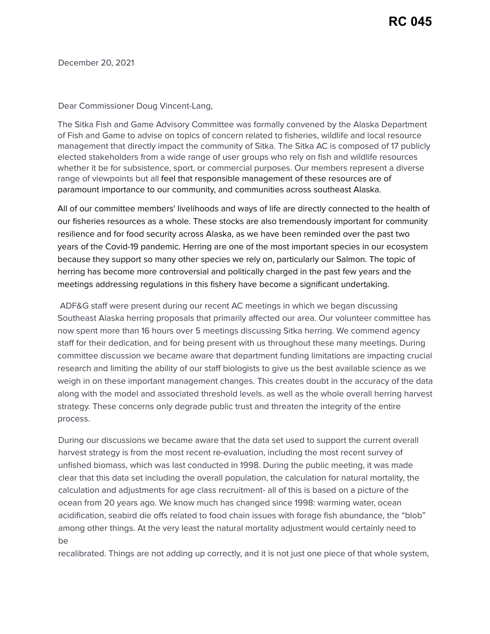December 20, 2021

## Dear Commissioner Doug Vincent-Lang,

The Sitka Fish and Game Advisory Committee was formally convened by the Alaska Department of Fish and Game to advise on topics of concern related to fisheries, wildlife and local resource management that directly impact the community of Sitka. The Sitka AC is composed of 17 publicly elected stakeholders from a wide range of user groups who rely on fish and wildlife resources whether it be for subsistence, sport, or commercial purposes. Our members represent a diverse range of viewpoints but all feel that responsible management of these resources are of paramount importance to our community, and communities across southeast Alaska.

All of our committee members' livelihoods and ways of life are directly connected to the health of our fisheries resources as a whole. These stocks are also tremendously important for community resilience and for food security across Alaska, as we have been reminded over the past two years of the Covid-19 pandemic. Herring are one of the most important species in our ecosystem because they support so many other species we rely on, particularly our Salmon. The topic of herring has become more controversial and politically charged in the past few years and the meetings addressing regulations in this fishery have become a significant undertaking.

ADF&G staff were present during our recent AC meetings in which we began discussing Southeast Alaska herring proposals that primarily affected our area. Our volunteer committee has now spent more than 16 hours over 5 meetings discussing Sitka herring. We commend agency staff for their dedication, and for being present with us throughout these many meetings. During committee discussion we became aware that department funding limitations are impacting crucial research and limiting the ability of our staff biologists to give us the best available science as we weigh in on these important management changes. This creates doubt in the accuracy of the data along with the model and associated threshold levels. as well as the whole overall herring harvest strategy. These concerns only degrade public trust and threaten the integrity of the entire process.

During our discussions we became aware that the data set used to support the current overall harvest strategy is from the most recent re-evaluation, including the most recent survey of unfished biomass, which was last conducted in 1998. During the public meeting, it was made clear that this data set including the overall population, the calculation for natural mortality, the calculation and adjustments for age class recruitment- all of this is based on a picture of the ocean from 20 years ago. We know much has changed since 1998: warming water, ocean acidification, seabird die offs related to food chain issues with forage fish abundance, the "blob" among other things. At the very least the natural mortality adjustment would certainly need to be

recalibrated. Things are not adding up correctly, and it is not just one piece of that whole system,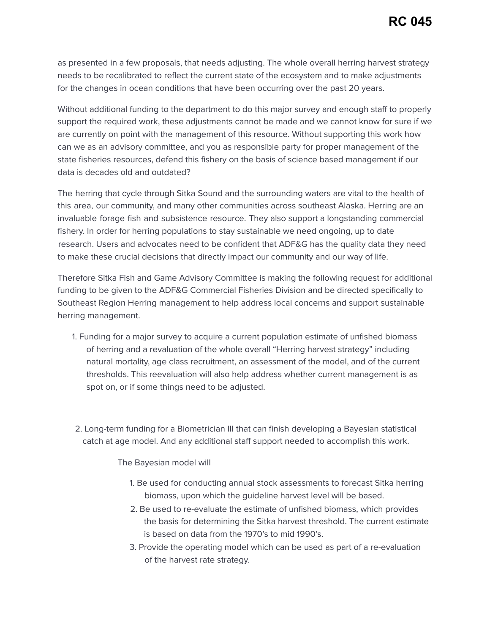as presented in a few proposals, that needs adjusting. The whole overall herring harvest strategy needs to be recalibrated to reflect the current state of the ecosystem and to make adjustments for the changes in ocean conditions that have been occurring over the past 20 years.

Without additional funding to the department to do this major survey and enough staff to properly support the required work, these adjustments cannot be made and we cannot know for sure if we are currently on point with the management of this resource. Without supporting this work how can we as an advisory committee, and you as responsible party for proper management of the state fisheries resources, defend this fishery on the basis of science based management if our data is decades old and outdated?

The herring that cycle through Sitka Sound and the surrounding waters are vital to the health of this area, our community, and many other communities across southeast Alaska. Herring are an invaluable forage fish and subsistence resource. They also support a longstanding commercial fishery. In order for herring populations to stay sustainable we need ongoing, up to date research. Users and advocates need to be confident that ADF&G has the quality data they need to make these crucial decisions that directly impact our community and our way of life.

Therefore Sitka Fish and Game Advisory Committee is making the following request for additional funding to be given to the ADF&G Commercial Fisheries Division and be directed specifically to Southeast Region Herring management to help address local concerns and support sustainable herring management.

1. Funding for a major survey to acquire a current population estimate of unfished biomass of herring and a revaluation of the whole overall "Herring harvest strategy" including natural mortality, age class recruitment, an assessment of the model, and of the current thresholds. This reevaluation will also help address whether current management is as spot on, or if some things need to be adjusted.

2. Long-term funding for a Biometrician III that can finish developing a Bayesian statistical catch at age model. And any additional staff support needed to accomplish this work.

## The Bayesian model will

- 1. Be used for conducting annual stock assessments to forecast Sitka herring biomass, upon which the guideline harvest level will be based.
- 2. Be used to re-evaluate the estimate of unfished biomass, which provides the basis for determining the Sitka harvest threshold. The current estimate is based on data from the 1970's to mid 1990's.
- 3. Provide the operating model which can be used as part of a re-evaluation of the harvest rate strategy.